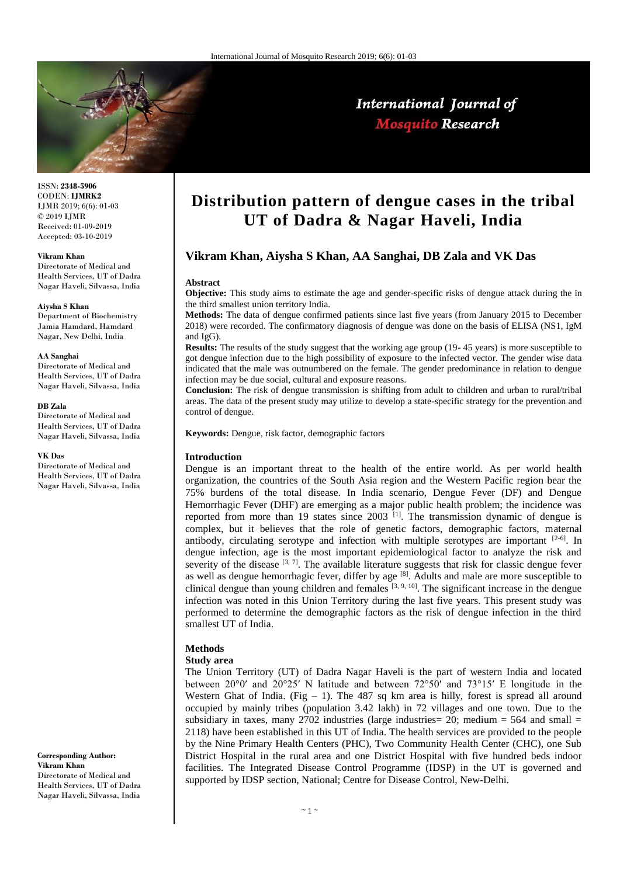

International Journal of **Mosquito Research** 

ISSN: **2348-5906** CODEN: **IJMRK2** IJMR 2019; 6(6): 01-03 © 2019 IJMR Received: 01-09-2019 Accepted: 03-10-2019

#### **Vikram Khan**

Directorate of Medical and Health Services, UT of Dadra Nagar Haveli, Silvassa, India

#### **Aiysha S Khan**

Department of Biochemistry Jamia Hamdard, Hamdard Nagar, New Delhi, India

#### **AA Sanghai**

Directorate of Medical and Health Services, UT of Dadra Nagar Haveli, Silvassa, India

#### **DB Zala**

Directorate of Medical and Health Services, UT of Dadra Nagar Haveli, Silvassa, India

#### **VK Das**

Directorate of Medical and Health Services, UT of Dadra Nagar Haveli, Silvassa, India

**Corresponding Author: Vikram Khan** Directorate of Medical and Health Services, UT of Dadra Nagar Haveli, Silvassa, India

# **Distribution pattern of dengue cases in the tribal UT of Dadra & Nagar Haveli, India**

## **Vikram Khan, Aiysha S Khan, AA Sanghai, DB Zala and VK Das**

#### **Abstract**

**Objective:** This study aims to estimate the age and gender-specific risks of dengue attack during the in the third smallest union territory India.

**Methods:** The data of dengue confirmed patients since last five years (from January 2015 to December 2018) were recorded. The confirmatory diagnosis of dengue was done on the basis of ELISA (NS1, IgM and IgG).

**Results:** The results of the study suggest that the working age group (19-45 years) is more susceptible to got dengue infection due to the high possibility of exposure to the infected vector. The gender wise data indicated that the male was outnumbered on the female. The gender predominance in relation to dengue infection may be due social, cultural and exposure reasons.

**Conclusion:** The risk of dengue transmission is shifting from adult to children and urban to rural/tribal areas. The data of the present study may utilize to develop a state-specific strategy for the prevention and control of dengue.

**Keywords:** Dengue, risk factor, demographic factors

#### **Introduction**

Dengue is an important threat to the health of the entire world. As per world health organization, the countries of the South Asia region and the Western Pacific region bear the 75% burdens of the total disease. In India scenario, Dengue Fever (DF) and Dengue Hemorrhagic Fever (DHF) are emerging as a major public health problem; the incidence was reported from more than 19 states since  $2003$  <sup>[1]</sup>. The transmission dynamic of dengue is complex, but it believes that the role of genetic factors, demographic factors, maternal antibody, circulating serotype and infection with multiple serotypes are important  $[2-6]$ . In dengue infection, age is the most important epidemiological factor to analyze the risk and severity of the disease  $[3, 7]$ . The available literature suggests that risk for classic dengue fever as well as dengue hemorrhagic fever, differ by age [8]. Adults and male are more susceptible to clinical dengue than young children and females  $[3, 9, 10]$ . The significant increase in the dengue infection was noted in this Union Territory during the last five years. This present study was performed to determine the demographic factors as the risk of dengue infection in the third smallest UT of India.

### **Methods**

#### **Study area**

The Union Territory (UT) of Dadra Nagar Haveli is the part of western India and located between 20°0′ and 20°25′ N latitude and between 72°50′ and 73°15′ E longitude in the Western Ghat of India. (Fig  $-1$ ). The 487 sq km area is hilly, forest is spread all around occupied by mainly tribes (population 3.42 lakh) in 72 villages and one town. Due to the subsidiary in taxes, many  $2702$  industries (large industries = 20; medium = 564 and small = 2118) have been established in this UT of India. The health services are provided to the people by the Nine Primary Health Centers (PHC), Two Community Health Center (CHC), one Sub District Hospital in the rural area and one District Hospital with five hundred beds indoor facilities. The Integrated Disease Control Programme (IDSP) in the UT is governed and supported by IDSP section, National; Centre for Disease Control, New-Delhi.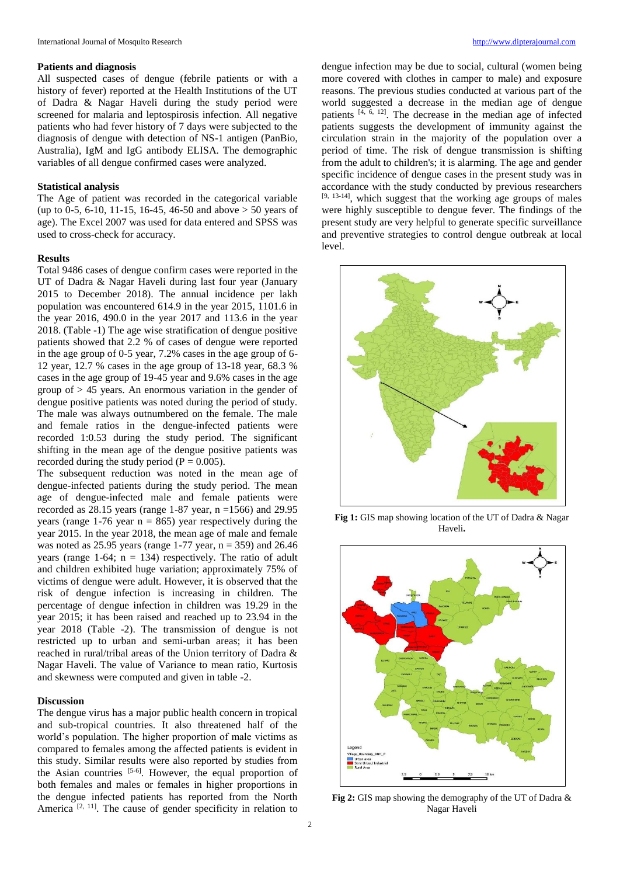#### **Patients and diagnosis**

All suspected cases of dengue (febrile patients or with a history of fever) reported at the Health Institutions of the UT of Dadra & Nagar Haveli during the study period were screened for malaria and leptospirosis infection. All negative patients who had fever history of 7 days were subjected to the diagnosis of dengue with detection of NS-1 antigen (PanBio, Australia), IgM and IgG antibody ELISA. The demographic variables of all dengue confirmed cases were analyzed.

## **Statistical analysis**

The Age of patient was recorded in the categorical variable (up to 0-5, 6-10, 11-15, 16-45, 46-50 and above  $> 50$  years of age). The Excel 2007 was used for data entered and SPSS was used to cross-check for accuracy.

#### **Results**

Total 9486 cases of dengue confirm cases were reported in the UT of Dadra & Nagar Haveli during last four year (January 2015 to December 2018). The annual incidence per lakh population was encountered 614.9 in the year 2015, 1101.6 in the year 2016, 490.0 in the year 2017 and 113.6 in the year 2018. (Table -1) The age wise stratification of dengue positive patients showed that 2.2 % of cases of dengue were reported in the age group of 0-5 year, 7.2% cases in the age group of 6- 12 year, 12.7 % cases in the age group of 13-18 year, 68.3 % cases in the age group of 19-45 year and 9.6% cases in the age group of  $> 45$  years. An enormous variation in the gender of dengue positive patients was noted during the period of study. The male was always outnumbered on the female. The male and female ratios in the dengue-infected patients were recorded 1:0.53 during the study period. The significant shifting in the mean age of the dengue positive patients was recorded during the study period ( $P = 0.005$ ).

The subsequent reduction was noted in the mean age of dengue-infected patients during the study period. The mean age of dengue-infected male and female patients were recorded as  $28.15$  years (range 1-87 year, n =1566) and  $29.95$ years (range 1-76 year  $n = 865$ ) year respectively during the year 2015. In the year 2018, the mean age of male and female was noted as 25.95 years (range 1-77 year,  $n = 359$ ) and 26.46 years (range 1-64;  $n = 134$ ) respectively. The ratio of adult and children exhibited huge variation; approximately 75% of victims of dengue were adult. However, it is observed that the risk of dengue infection is increasing in children. The percentage of dengue infection in children was 19.29 in the year 2015; it has been raised and reached up to 23.94 in the year 2018 (Table -2). The transmission of dengue is not restricted up to urban and semi-urban areas; it has been reached in rural/tribal areas of the Union territory of Dadra & Nagar Haveli. The value of Variance to mean ratio, Kurtosis and skewness were computed and given in table -2.

## **Discussion**

The dengue virus has a major public health concern in tropical and sub-tropical countries. It also threatened half of the world's population. The higher proportion of male victims as compared to females among the affected patients is evident in this study. Similar results were also reported by studies from the Asian countries  $[5-6]$ . However, the equal proportion of both females and males or females in higher proportions in the dengue infected patients has reported from the North America  $[2, 11]$ . The cause of gender specificity in relation to

dengue infection may be due to social, cultural (women being more covered with clothes in camper to male) and exposure reasons. The previous studies conducted at various part of the world suggested a decrease in the median age of dengue patients  $[4, 6, 12]$ . The decrease in the median age of infected patients suggests the development of immunity against the circulation strain in the majority of the population over a period of time. The risk of dengue transmission is shifting from the adult to children's; it is alarming. The age and gender specific incidence of dengue cases in the present study was in accordance with the study conducted by previous researchers  $[9, 13-14]$ , which suggest that the working age groups of males were highly susceptible to dengue fever. The findings of the present study are very helpful to generate specific surveillance and preventive strategies to control dengue outbreak at local level.



**Fig 1:** GIS map showing location of the UT of Dadra & Nagar Haveli**.**



**Fig 2:** GIS map showing the demography of the UT of Dadra & Nagar Haveli